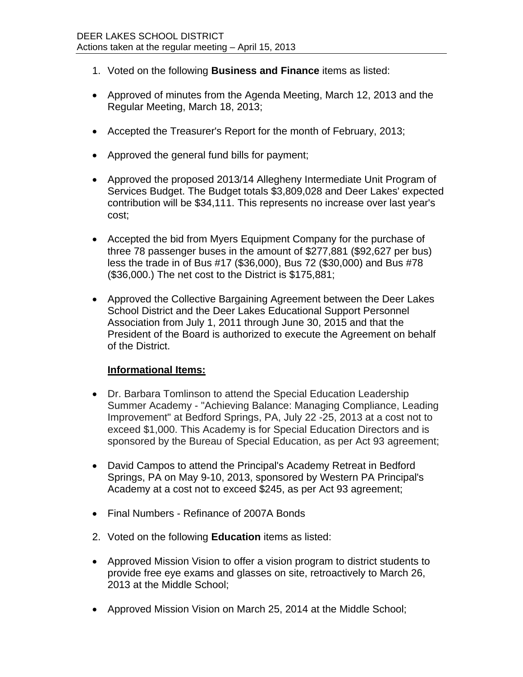- 1. Voted on the following **Business and Finance** items as listed:
- Approved of minutes from the Agenda Meeting, March 12, 2013 and the Regular Meeting, March 18, 2013;
- Accepted the Treasurer's Report for the month of February, 2013;
- Approved the general fund bills for payment;
- Approved the proposed 2013/14 Allegheny Intermediate Unit Program of Services Budget. The Budget totals \$3,809,028 and Deer Lakes' expected contribution will be \$34,111. This represents no increase over last year's cost;
- Accepted the bid from Myers Equipment Company for the purchase of three 78 passenger buses in the amount of \$277,881 (\$92,627 per bus) less the trade in of Bus #17 (\$36,000), Bus 72 (\$30,000) and Bus #78 (\$36,000.) The net cost to the District is \$175,881;
- Approved the Collective Bargaining Agreement between the Deer Lakes School District and the Deer Lakes Educational Support Personnel Association from July 1, 2011 through June 30, 2015 and that the President of the Board is authorized to execute the Agreement on behalf of the District.

## **Informational Items:**

- Dr. Barbara Tomlinson to attend the Special Education Leadership Summer Academy - "Achieving Balance: Managing Compliance, Leading Improvement" at Bedford Springs, PA, July 22 -25, 2013 at a cost not to exceed \$1,000. This Academy is for Special Education Directors and is sponsored by the Bureau of Special Education, as per Act 93 agreement;
- David Campos to attend the Principal's Academy Retreat in Bedford Springs, PA on May 9-10, 2013, sponsored by Western PA Principal's Academy at a cost not to exceed \$245, as per Act 93 agreement;
- Final Numbers Refinance of 2007A Bonds
- 2. Voted on the following **Education** items as listed:
- Approved Mission Vision to offer a vision program to district students to provide free eye exams and glasses on site, retroactively to March 26, 2013 at the Middle School;
- Approved Mission Vision on March 25, 2014 at the Middle School;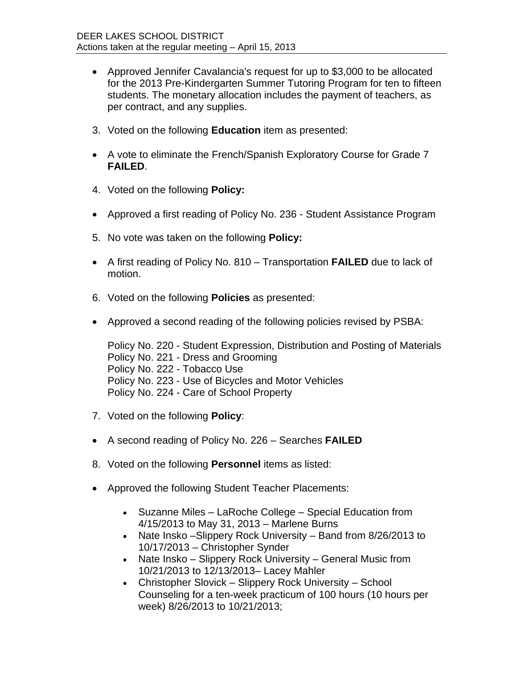- Approved Jennifer Cavalancia's request for up to \$3,000 to be allocated for the 2013 Pre-Kindergarten Summer Tutoring Program for ten to fifteen students. The monetary allocation includes the payment of teachers, as per contract, and any supplies.
- 3. Voted on the following **Education** item as presented:
- A vote to eliminate the French/Spanish Exploratory Course for Grade 7 **FAILED**.
- 4. Voted on the following **Policy:**
- Approved a first reading of Policy No. 236 Student Assistance Program
- 5. No vote was taken on the following **Policy:**
- A first reading of Policy No. 810 Transportation **FAILED** due to lack of motion.
- 6. Voted on the following **Policies** as presented:
- Approved a second reading of the following policies revised by PSBA:

Policy No. 220 - Student Expression, Distribution and Posting of Materials Policy No. 221 - Dress and Grooming Policy No. 222 - Tobacco Use Policy No. 223 - Use of Bicycles and Motor Vehicles Policy No. 224 - Care of School Property

- 7. Voted on the following **Policy**:
- A second reading of Policy No. 226 Searches **FAILED**
- 8. Voted on the following **Personnel** items as listed:
- Approved the following Student Teacher Placements:
	- Suzanne Miles LaRoche College Special Education from 4/15/2013 to May 31, 2013 – Marlene Burns
	- Nate Insko Slippery Rock University Band from 8/26/2013 to 10/17/2013 – Christopher Synder
	- Nate Insko Slippery Rock University General Music from 10/21/2013 to 12/13/2013– Lacey Mahler
	- Christopher Slovick Slippery Rock University School Counseling for a ten-week practicum of 100 hours (10 hours per week) 8/26/2013 to 10/21/2013;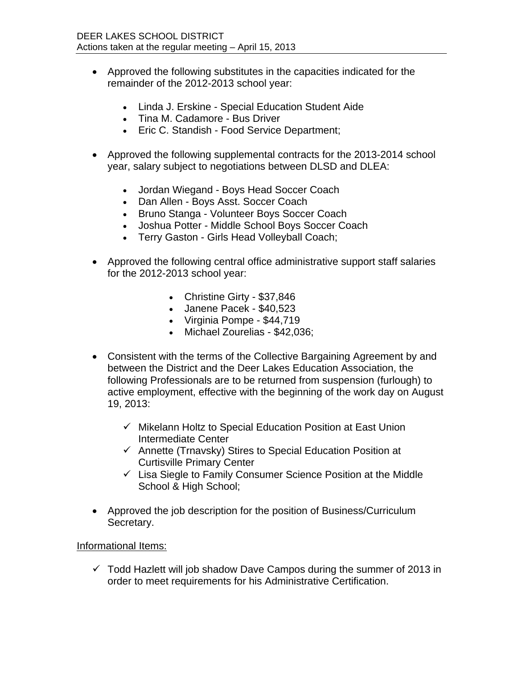- Approved the following substitutes in the capacities indicated for the remainder of the 2012-2013 school year:
	- Linda J. Erskine Special Education Student Aide
	- Tina M. Cadamore Bus Driver
	- Eric C. Standish Food Service Department;
- Approved the following supplemental contracts for the 2013-2014 school year, salary subject to negotiations between DLSD and DLEA:
	- Jordan Wiegand Boys Head Soccer Coach
	- Dan Allen Boys Asst. Soccer Coach
	- Bruno Stanga Volunteer Boys Soccer Coach
	- Joshua Potter Middle School Boys Soccer Coach
	- Terry Gaston Girls Head Volleyball Coach;
- Approved the following central office administrative support staff salaries for the 2012-2013 school year:
	- Christine Girty \$37,846
	- Janene Pacek \$40,523
	- Virginia Pompe \$44,719
	- Michael Zourelias \$42,036;
- Consistent with the terms of the Collective Bargaining Agreement by and between the District and the Deer Lakes Education Association, the following Professionals are to be returned from suspension (furlough) to active employment, effective with the beginning of the work day on August 19, 2013:
	- $\checkmark$  Mikelann Holtz to Special Education Position at East Union Intermediate Center
	- $\checkmark$  Annette (Trnavsky) Stires to Special Education Position at Curtisville Primary Center
	- $\checkmark$  Lisa Siegle to Family Consumer Science Position at the Middle School & High School;
- Approved the job description for the position of Business/Curriculum Secretary.

## Informational Items:

 $\checkmark$  Todd Hazlett will job shadow Dave Campos during the summer of 2013 in order to meet requirements for his Administrative Certification.